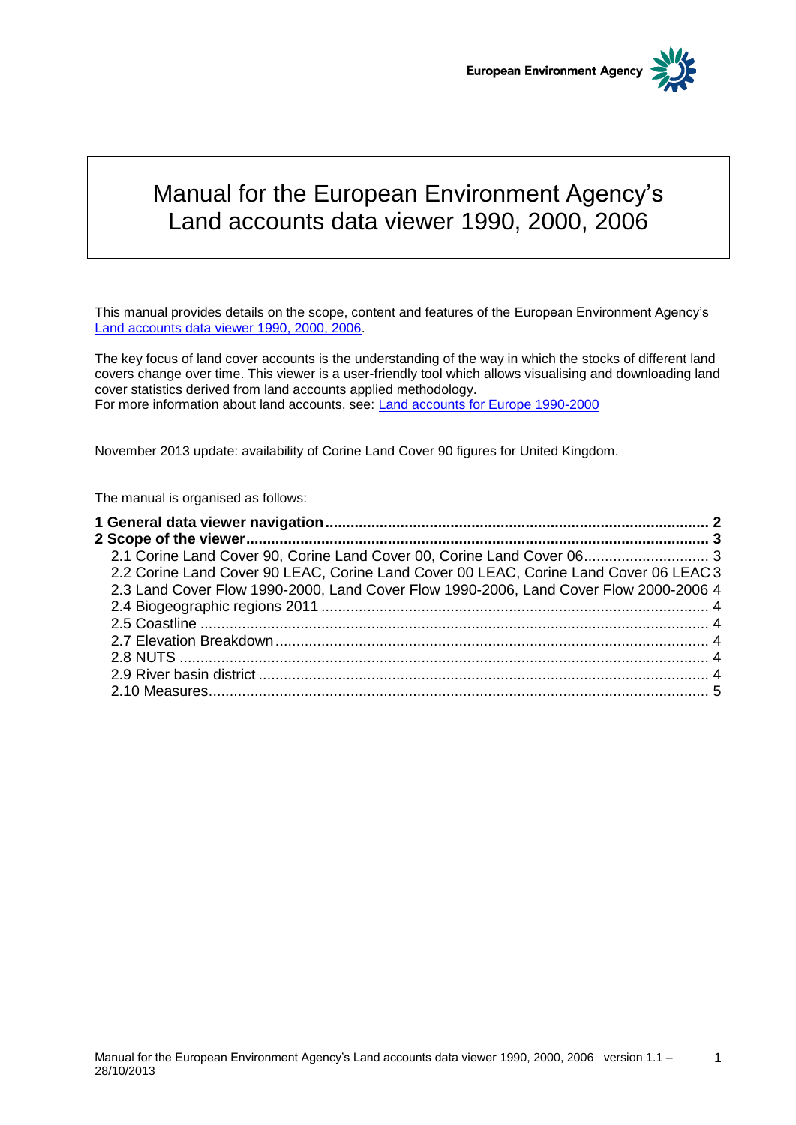

# Manual for the European Environment Agency's Land accounts data viewer 1990, 2000, 2006

This manual provides details on the scope, content and features of the European Environment Agency's [Land accounts data viewer 1990, 2000, 2006.](http://www.eea.europa.eu/data-and-maps/data/data-viewers/land-accounts)

The key focus of land cover accounts is the understanding of the way in which the stocks of different land covers change over time. This viewer is a user-friendly tool which allows visualising and downloading land cover statistics derived from land accounts applied methodology. For more information about land accounts, see: [Land accounts for Europe 1990-2000](http://www.eea.europa.eu/publications/eea_report_2006_11)

November 2013 update: availability of Corine Land Cover 90 figures for United Kingdom.

The manual is organised as follows:

| 2.2 Corine Land Cover 90 LEAC, Corine Land Cover 00 LEAC, Corine Land Cover 06 LEAC 3 |  |
|---------------------------------------------------------------------------------------|--|
| 2.3 Land Cover Flow 1990-2000, Land Cover Flow 1990-2006, Land Cover Flow 2000-2006 4 |  |
|                                                                                       |  |
|                                                                                       |  |
|                                                                                       |  |
|                                                                                       |  |
|                                                                                       |  |
|                                                                                       |  |
|                                                                                       |  |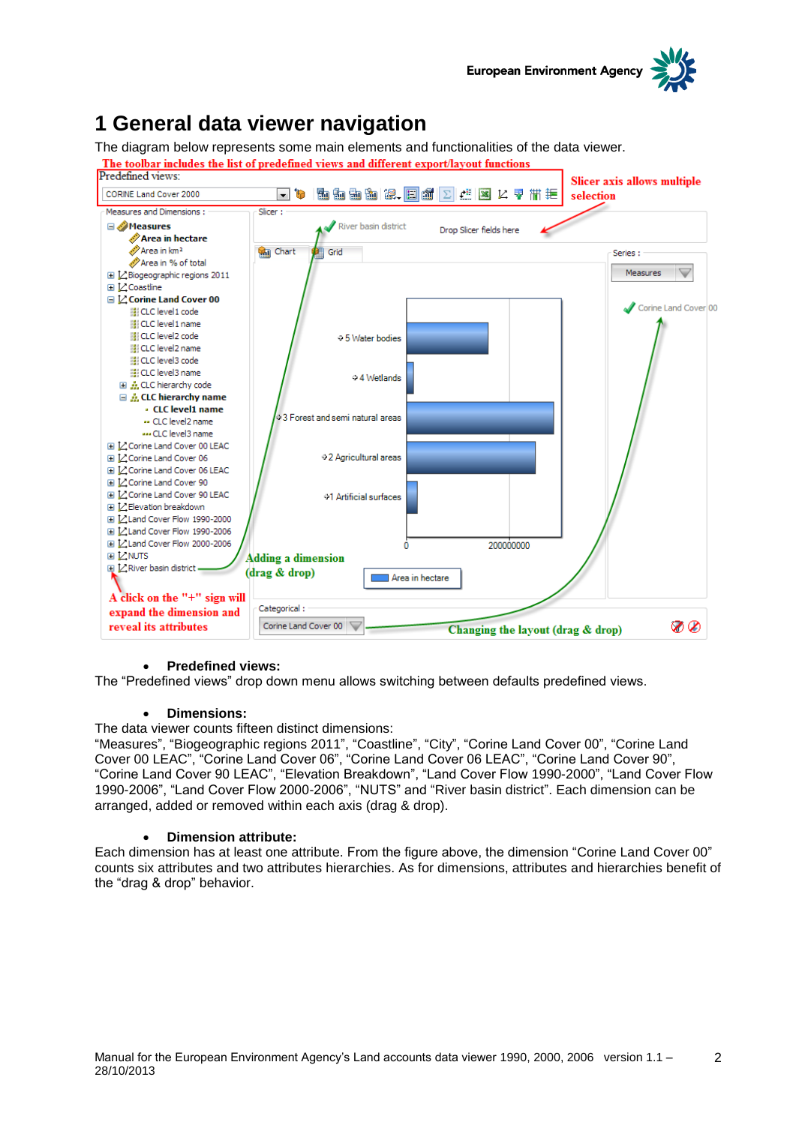

## <span id="page-1-0"></span>**1 General data viewer navigation**

The diagram below represents some main elements and functionalities of the data viewer.



#### **Predefined views:**

The "Predefined views" drop down menu allows switching between defaults predefined views.

#### **Dimensions:**

The data viewer counts fifteen distinct dimensions:

"Measures", "Biogeographic regions 2011", "Coastline", "City", "Corine Land Cover 00", "Corine Land Cover 00 LEAC", "Corine Land Cover 06", "Corine Land Cover 06 LEAC", "Corine Land Cover 90", "Corine Land Cover 90 LEAC", "Elevation Breakdown", "Land Cover Flow 1990-2000", "Land Cover Flow 1990-2006", "Land Cover Flow 2000-2006", "NUTS" and "River basin district". Each dimension can be arranged, added or removed within each axis (drag & drop).

#### **Dimension attribute:**

Each dimension has at least one attribute. From the figure above, the dimension "Corine Land Cover 00" counts six attributes and two attributes hierarchies. As for dimensions, attributes and hierarchies benefit of the "drag & drop" behavior.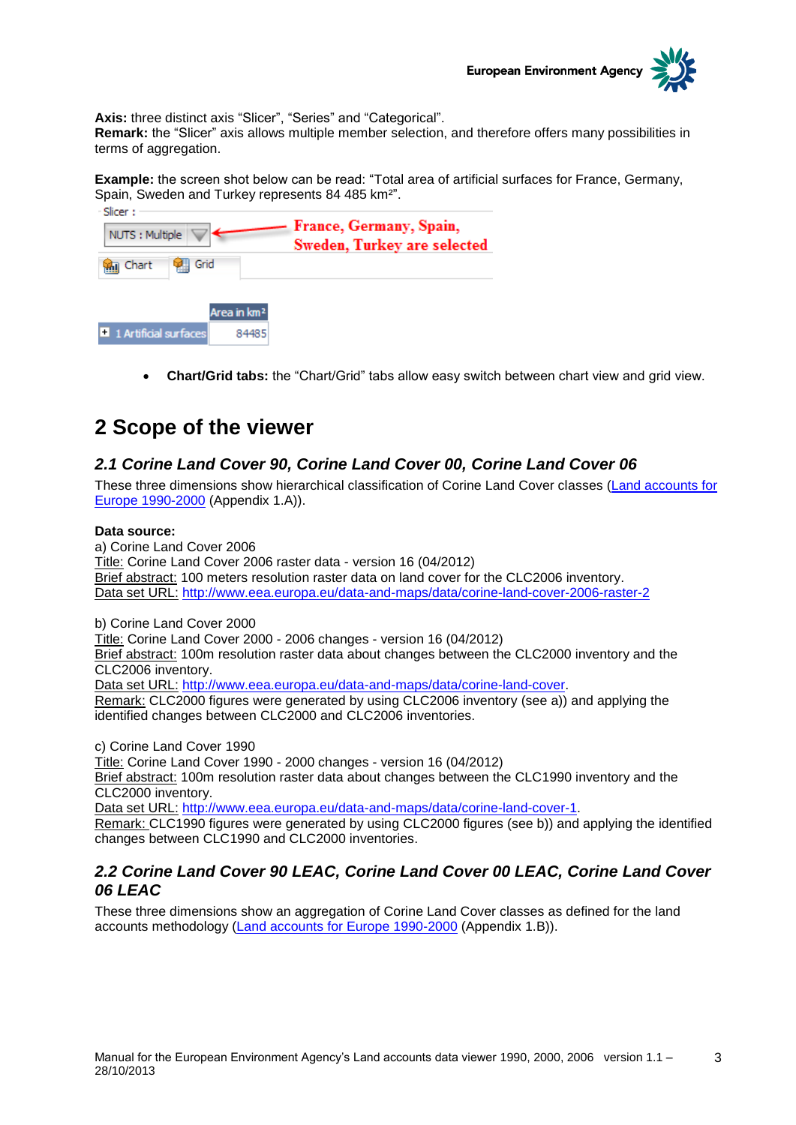

**Axis:** three distinct axis "Slicer", "Series" and "Categorical".

**Remark:** the "Slicer" axis allows multiple member selection, and therefore offers many possibilities in terms of aggregation.

**Example:** the screen shot below can be read: "Total area of artificial surfaces for France, Germany, Spain, Sweden and Turkey represents 84 485 km²".

| - Siicer :<br>NUTS : Multiple |                         | France, Germany, Spain,<br>Sweden, Turkey are selected |
|-------------------------------|-------------------------|--------------------------------------------------------|
| Grid<br>Chart                 |                         |                                                        |
|                               | Area in km <sup>2</sup> |                                                        |
| 1 Artificial surfaces         | 84485                   |                                                        |

**Chart/Grid tabs:** the "Chart/Grid" tabs allow easy switch between chart view and grid view.

## <span id="page-2-0"></span>**2 Scope of the viewer**

### <span id="page-2-1"></span>*2.1 Corine Land Cover 90, Corine Land Cover 00, Corine Land Cover 06*

These three dimensions show hierarchical classification of Corine Land Cover classes [\(Land accounts for](http://www.eea.europa.eu/publications/eea_report_2006_11)  [Europe 1990-2000](http://www.eea.europa.eu/publications/eea_report_2006_11) (Appendix 1.A)).

#### **Data source:**

a) Corine Land Cover 2006 Title: Corine Land Cover 2006 raster data - version 16 (04/2012) Brief abstract: 100 meters resolution raster data on land cover for the CLC2006 inventory. Data set URL: <http://www.eea.europa.eu/data-and-maps/data/corine-land-cover-2006-raster-2>

b) Corine Land Cover 2000

Title: Corine Land Cover 2000 - 2006 changes - version 16 (04/2012) Brief abstract: 100m resolution raster data about changes between the CLC2000 inventory and the CLC2006 inventory.

Data set URL: [http://www.eea.europa.eu/data-and-maps/data/corine-land-cover.](http://www.eea.europa.eu/data-and-maps/data/corine-land-cover)

Remark: CLC2000 figures were generated by using CLC2006 inventory (see a)) and applying the identified changes between CLC2000 and CLC2006 inventories.

c) Corine Land Cover 1990 Title: Corine Land Cover 1990 - 2000 changes - version 16 (04/2012) Brief abstract: 100m resolution raster data about changes between the CLC1990 inventory and the CLC2000 inventory.

Data set URL: [http://www.eea.europa.eu/data-and-maps/data/corine-land-cover-1.](http://www.eea.europa.eu/data-and-maps/data/corine-land-cover-1)

Remark: CLC1990 figures were generated by using CLC2000 figures (see b)) and applying the identified changes between CLC1990 and CLC2000 inventories.

### <span id="page-2-2"></span>*2.2 Corine Land Cover 90 LEAC, Corine Land Cover 00 LEAC, Corine Land Cover 06 LEAC*

These three dimensions show an aggregation of Corine Land Cover classes as defined for the land accounts methodology [\(Land accounts for Europe 1990-2000](http://www.eea.europa.eu/publications/eea_report_2006_11) (Appendix 1.B)).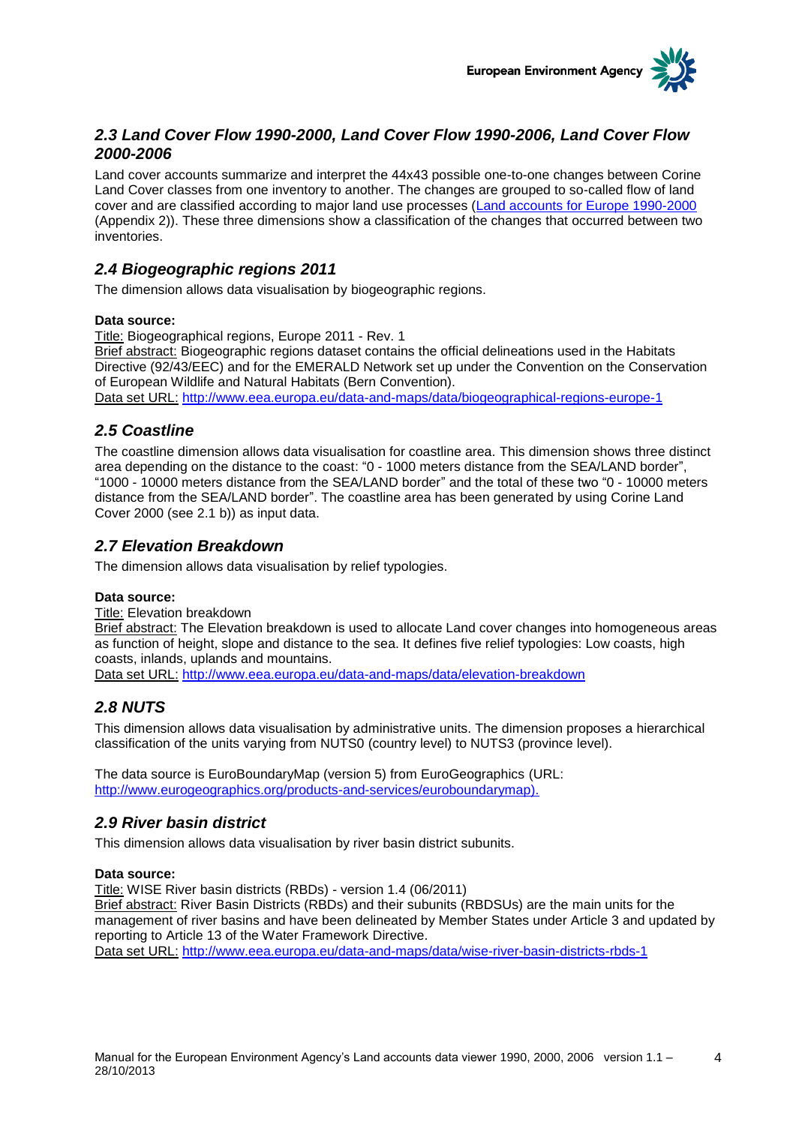

## <span id="page-3-0"></span>*2.3 Land Cover Flow 1990-2000, Land Cover Flow 1990-2006, Land Cover Flow 2000-2006*

Land cover accounts summarize and interpret the 44x43 possible one-to-one changes between Corine Land Cover classes from one inventory to another. The changes are grouped to so-called flow of land cover and are classified according to major land use processes [\(Land accounts for Europe 1990-2000](http://www.eea.europa.eu/publications/eea_report_2006_11) (Appendix 2)). These three dimensions show a classification of the changes that occurred between two inventories.

## <span id="page-3-1"></span>*2.4 Biogeographic regions 2011*

The dimension allows data visualisation by biogeographic regions.

#### **Data source:**

Title: Biogeographical regions, Europe 2011 - Rev. 1

Brief abstract: Biogeographic regions dataset contains the official delineations used in the Habitats Directive (92/43/EEC) and for the EMERALD Network set up under the Convention on the Conservation of European Wildlife and Natural Habitats (Bern Convention). Data set URL: <http://www.eea.europa.eu/data-and-maps/data/biogeographical-regions-europe-1>

### <span id="page-3-2"></span>*2.5 Coastline*

The coastline dimension allows data visualisation for coastline area. This dimension shows three distinct area depending on the distance to the coast: "0 - 1000 meters distance from the SEA/LAND border", "1000 - 10000 meters distance from the SEA/LAND border" and the total of these two "0 - 10000 meters distance from the SEA/LAND border". The coastline area has been generated by using Corine Land Cover 2000 (see 2.1 b)) as input data.

## <span id="page-3-3"></span>*2.7 Elevation Breakdown*

The dimension allows data visualisation by relief typologies.

#### **Data source:**

Title: Elevation breakdown

Brief abstract: The Elevation breakdown is used to allocate Land cover changes into homogeneous areas as function of height, slope and distance to the sea. It defines five relief typologies: Low coasts, high coasts, inlands, uplands and mountains.

<span id="page-3-4"></span>Data set URL: <http://www.eea.europa.eu/data-and-maps/data/elevation-breakdown>

## *2.8 NUTS*

This dimension allows data visualisation by administrative units. The dimension proposes a hierarchical classification of the units varying from NUTS0 (country level) to NUTS3 (province level).

The data source is EuroBoundaryMap (version 5) from EuroGeographics (URL: [http://www.eurogeographics.org/products-and-services/euroboundarymap\)](http://www.eurogeographics.org/products-and-services/euroboundarymap).

### <span id="page-3-5"></span>*2.9 River basin district*

This dimension allows data visualisation by river basin district subunits.

#### **Data source:**

Title: WISE River basin districts (RBDs) - version 1.4 (06/2011) Brief abstract: River Basin Districts (RBDs) and their subunits (RBDSUs) are the main units for the management of river basins and have been delineated by Member States under Article 3 and updated by reporting to Article 13 of the Water Framework Directive. Data set URL: <http://www.eea.europa.eu/data-and-maps/data/wise-river-basin-districts-rbds-1>